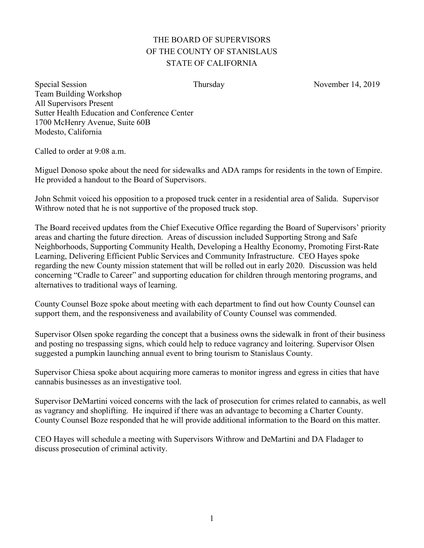## THE BOARD OF SUPERVISORS OF THE COUNTY OF STANISLAUS STATE OF CALIFORNIA

Special Session Thursday Thursday November 14, 2019 Team Building Workshop All Supervisors Present Sutter Health Education and Conference Center 1700 McHenry Avenue, Suite 60B Modesto, California

Called to order at 9:08 a.m.

Miguel Donoso spoke about the need for sidewalks and ADA ramps for residents in the town of Empire. He provided a handout to the Board of Supervisors.

John Schmit voiced his opposition to a proposed truck center in a residential area of Salida. Supervisor Withrow noted that he is not supportive of the proposed truck stop.

The Board received updates from the Chief Executive Office regarding the Board of Supervisors' priority areas and charting the future direction. Areas of discussion included Supporting Strong and Safe Neighborhoods, Supporting Community Health, Developing a Healthy Economy, Promoting First-Rate Learning, Delivering Efficient Public Services and Community Infrastructure. CEO Hayes spoke regarding the new County mission statement that will be rolled out in early 2020. Discussion was held concerning "Cradle to Career" and supporting education for children through mentoring programs, and alternatives to traditional ways of learning.

County Counsel Boze spoke about meeting with each department to find out how County Counsel can support them, and the responsiveness and availability of County Counsel was commended.

Supervisor Olsen spoke regarding the concept that a business owns the sidewalk in front of their business and posting no trespassing signs, which could help to reduce vagrancy and loitering. Supervisor Olsen suggested a pumpkin launching annual event to bring tourism to Stanislaus County.

Supervisor Chiesa spoke about acquiring more cameras to monitor ingress and egress in cities that have cannabis businesses as an investigative tool.

Supervisor DeMartini voiced concerns with the lack of prosecution for crimes related to cannabis, as well as vagrancy and shoplifting. He inquired if there was an advantage to becoming a Charter County. County Counsel Boze responded that he will provide additional information to the Board on this matter.

CEO Hayes will schedule a meeting with Supervisors Withrow and DeMartini and DA Fladager to discuss prosecution of criminal activity.